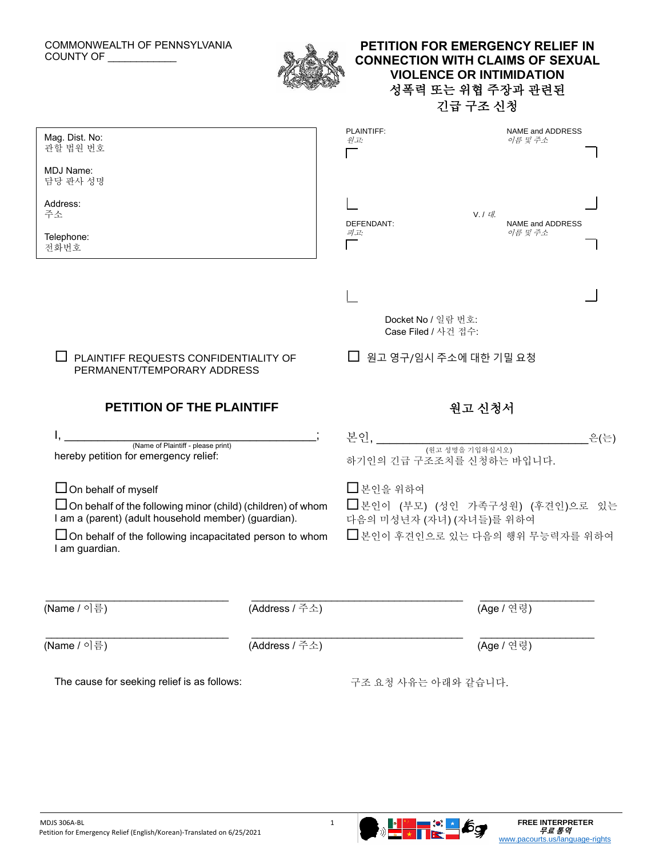### COMMONWEALTH OF PENNSYLVANIA COUNTY OF \_\_\_\_\_\_\_\_\_\_\_\_



## **PETITION FOR EMERGENCY RELIEF IN CONNECTION WITH CLAIMS OF SEXUAL VIOLENCE OR INTIMIDATION** 성폭력 또는 위협 주장과 관련된 긴급 구조 신청

| Mag. Dist. No:<br>관할 법원 번호                                                                                                                                                                                                                   | PLAINTIFF:<br>NAME and ADDRESS<br>원고:<br>이름 및 주소                                                                     |  |
|----------------------------------------------------------------------------------------------------------------------------------------------------------------------------------------------------------------------------------------------|----------------------------------------------------------------------------------------------------------------------|--|
| MDJ Name:<br>담당 판사 성명                                                                                                                                                                                                                        |                                                                                                                      |  |
| Address:<br>주소                                                                                                                                                                                                                               | V. I H.<br>DEFENDANT:<br>NAME and ADDRESS                                                                            |  |
| Telephone:<br>전화번호                                                                                                                                                                                                                           | 피고:<br>이름 및 주소                                                                                                       |  |
|                                                                                                                                                                                                                                              |                                                                                                                      |  |
|                                                                                                                                                                                                                                              | Docket No / 일람 번호:<br>Case Filed / 사건 접수:                                                                            |  |
| PLAINTIFF REQUESTS CONFIDENTIALITY OF<br>PERMANENT/TEMPORARY ADDRESS                                                                                                                                                                         | 원고 영구/임시 주소에 대한 기밀 요청                                                                                                |  |
| <b>PETITION OF THE PLAINTIFF</b>                                                                                                                                                                                                             | 원고 신청서                                                                                                               |  |
| (Name of Plaintiff - please print)<br>hereby petition for emergency relief:                                                                                                                                                                  | 본인, ________<br>_은(는)<br>하기인의 긴급 구조조치를 신청하는 바입니다.                                                                    |  |
| $\Box$ On behalf of myself<br>$\Box$ On behalf of the following minor (child) (children) of whom<br>I am a (parent) (adult household member) (guardian).<br>$\Box$ On behalf of the following incapacitated person to whom<br>I am guardian. | $\square$ 본인을 위하여<br>□ 본인이 (부모) (성인 가족구성원) (후견인)으로 있는<br>다음의 미성년자 (자녀) (자녀들)를 위하여<br>□ 본인이 후견인으로 있는 다음의 행위 무능력자를 위하여 |  |
| (Name / 이름)<br>(Address / 주소)                                                                                                                                                                                                                | (Age / 연령)                                                                                                           |  |
| (Name / 이름)<br>(Address / 주소)                                                                                                                                                                                                                | (Age / 연령)                                                                                                           |  |
| The cause for seeking relief is as follows:                                                                                                                                                                                                  | 구조 요청 사유는 아래와 같습니다.                                                                                                  |  |